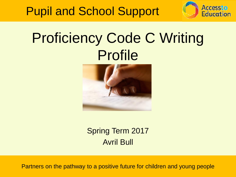



## Proficiency Code C Writing Profile



Spring Term 2017 Avril Bull

Partners on the pathway to a positive future for children and young people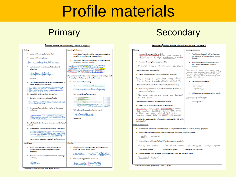## Profile materials

#### Primary Secondary

#### Writing Profile of Proficiency Code C - Stage 5 Writing Leaning behaviour . Issues with using articles (a. the) . Pupil doctn't usually ask for help, demonstrating transfer of new learning independently . Issues with using tenses . Sometimes can identify mistakes but can't always She climber she wish to her self-connect without support. senting we and to sell can come to the senting the condition of the senting of the senting of the senting of the senting of the senting of the senting of the senting of the senting of the senting of the senting of the sent . Lacks description and use of advertisiand adiadives there bilid .<br>She run to her and said an I play with you in candy land ya what will we play on the boungr castle waite minute **Saudina** . Can respond to marking . Can use any connective to join two sentences to create a compound sentence. Can you crank a 24 suitable? She was at these boursers and NThe metifield Blue Syesky She was at the bottomand she bounded up . Can complete self-assessment . Contains some incorrect use of volbs **Business Constitution of Party 19.** She came home she went to her early meaning, seal form or cut two . Some use of punctuation marks to domarcate sentences . Will attempt to use adventurous words Unereaddressi tworthing She lept the dine blog<br>She came home She webs to her<br>bod and recep Incredible She left the dirty bin She arme home showent to her ball and rat. . Some speech like sentences/phrases may occur identification to fent we now they We now they are at the mountain to play. Jumping Word level Phonics . Needs more assistance with knowledge of . Phonetic orors with alternate spelling patterns used, c.a. cardie, know, Stacey subject specific vocab in science. history. goography casile, how stace \* Confusion over homophone alternate spellings, see/see. . Some spelling patterns mixed up becipare awary sane

#### Secondary Writing Profile of Proficiency Code C - Stage 5 **Leaning behaviour** Writing . Issues with using articles (a, the) . Publi docum't usually ask for help, can the give of obtains. It the first someoner see elements of independence coming. thousands. . Issues with using tenses appropriately 4. Several even you identify winterform had most always self-connect without Should have that the chesture **Support** Should have check the wheather The primes speed was word that The Prince Speech man whose Prince of<br>Carpelets and Momontar Male Construction Smoki<br>An With Speech, Apr Polity Construction Smoki<br>Theodor Ing USO Online<br>Theodor Ing USO Online . Lacks description and use of advotts and adjectives There was a bire that was stuck In a tree I real didn't believe it, . Can respond to marking The was a bike that was studi in a tree I really didn't believe it... sprintizal  $50 - 6$  ed . Can use any connective to join two sentences to create a compound sentence. . Will attempt to use adventurous words The man ran to the hause and brocker on the door. Spersons: cation The man ran to the house and knocked on the door. personification . Some use of punctuation marks to good effect there is a simple sementer it was a the reader question why also there.<br>clothes on the side of the train from les ; which this is donormed because It makes the reader question livity was there elathes on the side of the **Buin Bucks.** Word level/phonics . Needs more assistance with knowledge of subject specific vocab in science, history, geography . Confusion over homephone alternate socilings, their/there, weather/whether their about . Inconsistency with use of plural 's' and possessive apostophe-The Princes burds. The prince speed wonterques and caputer The Prince!" la words The Prince ('s) speech Montagues and Cooulet/s) . Phonetic errors, with alternate, spelling patterns, used, e.g. sentence, myth, gentance, madhe

"Samples of work are given from a Year 11 pupil

"Samples of work are given from a Year 4 pupil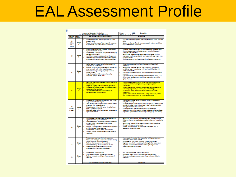## EAL Assessment Profile

|                                     |                   | Access to Education Birmingham<br>EAL ASSESSMENT PROFILE (KS) and KS4                                                                                                                                                                                                                                                                                                                                                  | School(A):<br>DOD:<br>Name<br>1111                                                                                                                                                                                                                                                                                                                                                                                                                                                         |
|-------------------------------------|-------------------|------------------------------------------------------------------------------------------------------------------------------------------------------------------------------------------------------------------------------------------------------------------------------------------------------------------------------------------------------------------------------------------------------------------------|--------------------------------------------------------------------------------------------------------------------------------------------------------------------------------------------------------------------------------------------------------------------------------------------------------------------------------------------------------------------------------------------------------------------------------------------------------------------------------------------|
| Census<br>Code                      | <b>Stage</b>      | <b>USTORNG AND UNDERSTANDING</b>                                                                                                                                                                                                                                                                                                                                                                                       | SEAKNG                                                                                                                                                                                                                                                                                                                                                                                                                                                                                     |
| ь<br>Within<br>5-7<br><b>WARDTE</b> | Shape<br>я        | Understanding is in line with peers of the same<br>age and ability<br>Pupis, have the range of learning skills necessary.<br>to participate fully with National Curriculum                                                                                                                                                                                                                                             | Use of spoken language is in line with peers of the same age and<br>ab line<br>Speaks confidently, fluently and accurately in order to participate<br>fully in the national curriculum                                                                                                                                                                                                                                                                                                     |
| Đ                                   | Ships<br>7        | Shows understanding of the detail of curriculum<br>topics with limited visuals.<br>Understands some idioms, and phrasal verbs (e.g.<br>come upwits, give in)<br>Can follow reasoning, discussion and argument<br>Learners appear confident, independent and fully<br>engaged within ageaking and lisaning activities.                                                                                                  | Uses the passive tense (e.g. the saltivas added to the test tibe)<br>Communicates meaning, including more complex ideas and<br>concept with accuracy<br>Beginning to use structures to express higher order thinking:<br>expresses predictor, probability and hypothesis (e.g. might, may,<br>could would be)<br>Monitors, response from Islamers, and modifies, own response.                                                                                                             |
| е                                   | Shape<br>в        | dotive Tesener In group teaks including saking<br>numerions for clarification<br>Follows, the plat of and some detail of teacher talk.<br>on a new tigle with linked visual support<br>Listens and responds appropriately to other's<br>points of view<br>Organisas spoken information when using<br>diagrams, graphs, tables, ex-                                                                                     | Uzaz relative clauses (e.g. I zaw the teacher who spoke in<br>assembly)<br>Beginning to use other tenses, gast contructs, future and<br>conditional (e.g. I was playing, I will go, I would like.) but with<br>some inaccuracies<br>Use plurals, articles, pronouns and prepositions with increasing<br><b><i>BOCURBON</i></b><br>Can contibute to whole class discussion on familiar topics (e.g.<br>giving group feedback, giving opinions, respecting sum taking<br>rights, of others.) |
|                                     | Shape<br>в        | Begins to differentiate between past presentand<br><b>Some singles.</b><br>Begins to engage with how and why guestions.<br>Understands a wide range of conversational and<br>subjectspecific vocabulary<br>To understand inforence when listening to<br>someone speak or within a sex.                                                                                                                                 | Communicates meaning using some exampled more complex.<br>sanances with increasing accuracy, using a range of<br>continctions<br>Uses presentainple and contruous anses, appropriately and<br>accurately (e.g. I walk, he walked, they are walking).<br>Uses a vide range of conversational and subjectspecific<br>www.abulary<br>Speaks about maters, of interest to a range of isseners, which<br>may include a small group, for a shortamount time                                      |
| в<br>Within<br>2 years              | Shape<br>4        | Understands some teacher guestions, with visual<br>supportwithin familiar topics.<br>deke the ageaker to regeat or additional its clarify<br>or example and understanding<br>Usually copes with a wide range of verballingur.<br>from a variety of sources.<br>Lisans for deall using key words to extractsome.<br>specific information                                                                                | Rasponds to a wider range of guestion types with scaffolding<br>(Why? Because?)<br>Uses pastsingle anse regular verb (e.g. I played, I lisaned) and<br>common integular verbs (Iwans I did, I had, I got) appropriately<br>although with some inaccuracies<br>Understands and uses a wide range of conversational<br>vocabulary and an increasing range of subjects peofic vocabulary<br>Expresses opinions and wishes independently (e.g. 1 like maths)                                   |
| в                                   | Ships<br>м        | Can indicate when they need to hear something<br>again within a supportive situation<br>Listens attendingly, during lessons and will attempt<br>to make imited integonese (e.g. one word<br>contributions)<br>Follows, a shortsequence of instructions applied in<br>a wider range of circumstances.<br>Understands functions of time, connectives.<br>definely collects and learns new subject-specific<br>vocabulary | Beginning to form simple hold-guestions, e.g. what and where<br>Evidence of over-generalized grammatical rules, e.g. 1 gead, she<br>drink<br>Beginning to use plurals, articles, pronouns and prepositions,<br>although with some inaccuracies.<br>initiates, and partolpates, in exchanges with peers, may, be-<br>reluction to a peak with adults.                                                                                                                                       |
| ٨                                   | <b>Shows</b><br>2 | Responds to yes ho and elherior guestions.<br>Takes part in simple social conversations during<br>familiar routines and concrete tesks.<br>Follows, shortseguence of instructions<br>Lisans standirely for shortamounts of the<br>Uses dictorary independently to support<br>understanding of unknown vocabulary                                                                                                       | Pronunciation is unclear due to speaker lacking confidence to<br>pronounce mult-sylable words.<br>Participasse, in very basic, formulaic spoken exchanges.<br>Begins to use simple vocabulary, including familiar classroom<br>objects to communicate basic needs through single word<br>uterances and shortchrases.                                                                                                                                                                       |
| A                                   | Ships<br>٠        | Understands home language<br>Watches and joins in routines and activities.<br>Follows, instructions relying on key words and<br>0443344                                                                                                                                                                                                                                                                                | May notcommunicate orally (allent period)<br>Expresses needs using a language other than English<br>Uses non-verbal gestures to respond to greatings and basic<br><b>GLIAS SOFIE</b>                                                                                                                                                                                                                                                                                                       |
|                                     |                   | LETOING AND UNDERSTANDING                                                                                                                                                                                                                                                                                                                                                                                              | <b>SECARTAGE</b>                                                                                                                                                                                                                                                                                                                                                                                                                                                                           |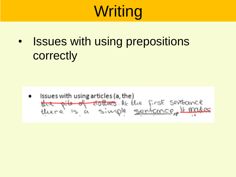• Issues with using prepositions **correctly** 

Issues with using articles (a, the) the pile of dottres. At the first seitbounce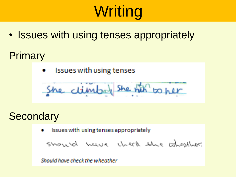• Issues with using tenses appropriately

### Primary

Issues with using tenses ۰

#### **Secondary**

Issues with using tenses appropriately

should have that the wheather.

Should have check the wheather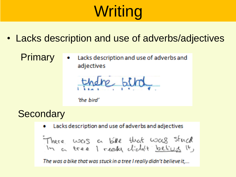- Lacks description and use of adverbs/adjectives
	- Primary Lacks description and use of adverbs and adjectives

dre bibol

'the bird'

**Secondary** 

Lacks description and use of adverbs and adjectives œ.

The was a bike that was stuck in a tree I really didn't believe it,...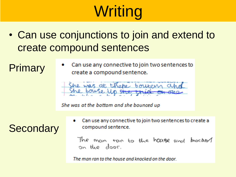• Can use conjunctions to join and extend to create compound sentences

Primary

Can use any connective to join two sentences to create a compound sentence.

She was at the bottom and she bounced up

**Secondary** 

Can use any connective to join two sentences to create a compound sentence.

The man can to the house and mocked on the door.

The man ran to the house and knocked on the door.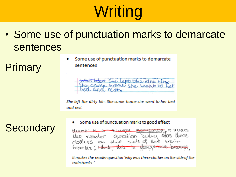• Some use of punctuation marks to demarcate sentences

Primary

Some use of punctuation marks to demarcate ٠ sentences

was high She left the dire bing

She left the dirty bin. She came home she went to her bed and rest.

Some use of punctuation marks to good effect

**THURSDAY** the reacher question why was  $f<sub>acc</sub>(\ell_{S} - H<sub>link</sub> - H<sub>vis</sub>)$ 

It makes the reader question 'why was there clothes on the side of the train tracks."

### **Secondary**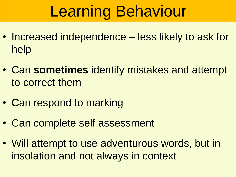# Learning Behaviour

- Increased independence less likely to ask for help
- Can **sometimes** identify mistakes and attempt to correct them
- Can respond to marking
- Can complete self assessment
- Will attempt to use adventurous words, but in insolation and not always in context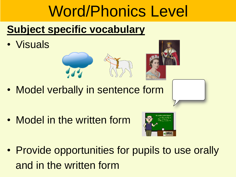## Word/Phonics Level

## **Subject specific vocabulary**

• Visuals





• Model verbally in sentence form

• Model in the written form



• Provide opportunities for pupils to use orally and in the written form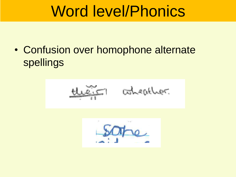## Word level/Phonics

• Confusion over homophone alternate spellings



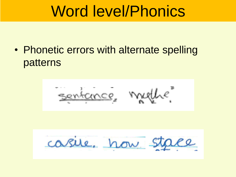## Word level/Phonics

• Phonetic errors with alternate spelling patterns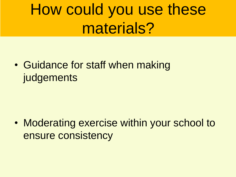## How could you use these materials?

• Guidance for staff when making **judgements** 

• Moderating exercise within your school to ensure consistency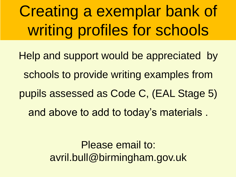Creating a exemplar bank of writing profiles for schools

Help and support would be appreciated by schools to provide writing examples from pupils assessed as Code C, (EAL Stage 5) and above to add to today's materials .

> Please email to: avril.bull@birmingham.gov.uk